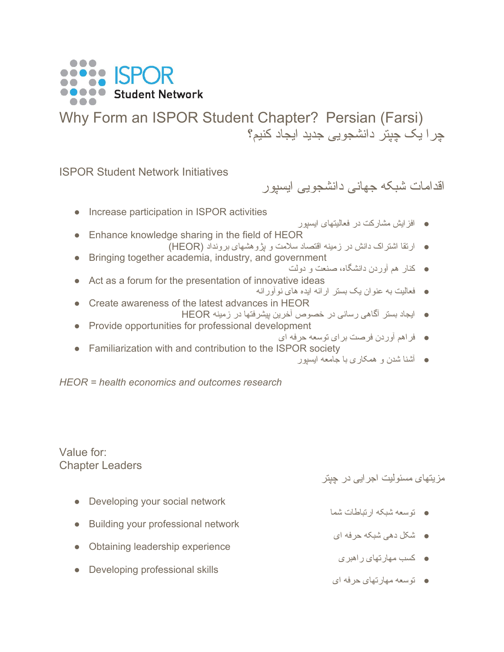

Why Form an ISPOR Student Chapter? Persian (Farsi) چرا یک چپتر دانشجویی جدید ایجاد کنیم؟

ISPOR Student Network Initiatives

اقدامات شبکه جهانی دانشجویی ایسپور

- Increase participation in ISPOR activities ● افزایش مشارکت در فعالیتهای ایسپور ● Enhance knowledge sharing in the field of HEOR ● ارتقا اشتراک دانش در زمینه اقتصاد سلامت و پژوهشهای برونداد (HEOR( ● Bringing together academia, industry, and government ● کنار هم آوردن دانشگاه، صنعت و دولت ● Act as a forum for the presentation of innovative ideas ● فعالیت به عنوان یک بستر ارائه ایده های نوآورانه ● Create awareness of the latest advances in HEOR ● ایجاد بستر آگاهی رسانی در خصوص آخرین پیشرفتها در زمینه HEOR ● Provide opportunities for professional development ● فراهم آوردن فرصت برای توسعه حرفه ای
- Familiarization with and contribution to the ISPOR society
	- آشنا شدن و همکاری با جامعه ایسپور

*HEOR = health economics and outcomes research*

Value for: Chapter Leaders

مزیتهای مسئولیت اجرایی در چپتر

- Developing your social network ● توسعه شبکه ارتباطات شما
- Building your professional network
- Obtaining leadership experience
- Developing professional skills

● توسعه مهارتهای حرفه ای

● کسب مهارتهای راهبری

● شکل دهی شبکه حرفه ای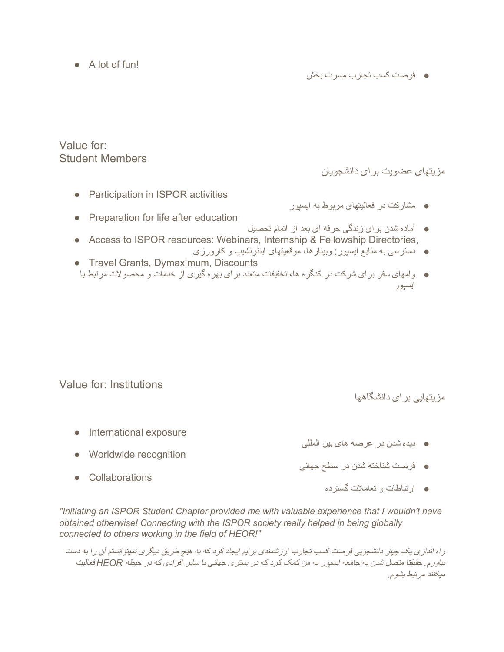● A lot of fun!

● فرصت کسب تجارب مسرت بخش

Value for: Student Members

مزیتهای عضویت برای دانشجویان

- Participation in ISPOR activities
- مشارکت در فعالیتهای مربوط به ایسپور
- Preparation for life after education ● آماده شدن برای زندگی حرفه ای بعد از اتمام تحصیل ● Access to ISPOR resources: Webinars, Internship & Fellowship Directories,
	- دسترسی به منابع ایسپور: وبینارها، موقعیتهای اینترنشیپ و کارورزی
- Travel Grants, Dymaximum, Discounts ● وامهای سفر برای شرکت در کنگره ها، تخفیفات متعدد برای بهره گیری از خدمات و محصولات مرتبط با ایسپور

Value for: Institutions

مزیتهایی برای دانشگاهها

● International exposure

● Worldwide recognition

- دیده شدن در عرصه های بین المللی
- فرصت شناخته شدن در سطح جهانی
- Collaborations

● ارتباطات و تعاملات گسترده

*"Initiating an ISPOR Student Chapter provided me with valuable experience that I wouldn't have obtained otherwise! Connecting with the ISPOR society really helped in being globally connected to others working in the field of HEOR!"*

راه اندازی یک چپتر دانشجویی فرصت کسب تجارب ارزشمندی برایم ایجاد کرد که به هیچ طریق دیگری نمیتوانستم آن را به دست بیاورم*.* حقیقتا متصل شدن به جامعه ایسپور به من کمک کرد که در بستری جهانی با سایر افرادی که در حیطه *HEOR* فعالیت میکنند مرتبط بشوم*.*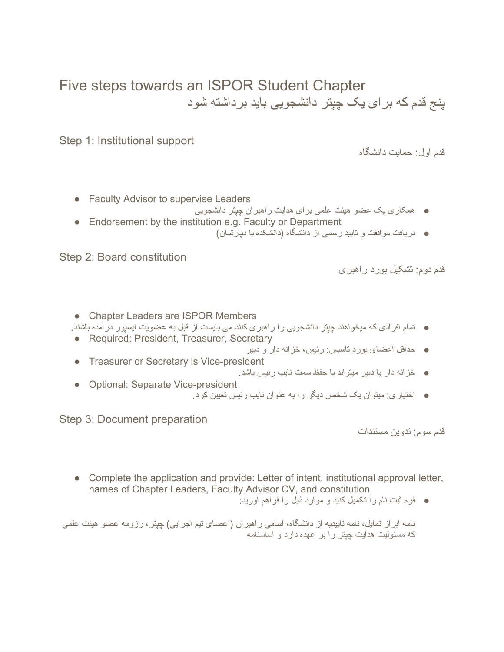## Five steps towards an ISPOR Student Chapter پنج قدم که برای یک چپتر دانشجویی باید برداشته شود

Step 1: Institutional support

قدم اول: حمایت دانشگاه

- Faculty Advisor to supervise Leaders
	- همکاری یک عضو هیئت علمی برای هدایت راهبران چپتر دانشجویی
- Endorsement by the institution e.g. Faculty or Department
	- دریافت موافقت و تایید رسمی از دانشگاه (دانشکده یا دپارتمان)

Step 2: Board constitution

قدم دوم: تشکیل بورد راهبری

● Chapter Leaders are ISPOR Members

● تمام افرادی که میخواهند چپتر دانشجویی را راهبری کنند می بایست از قبل به عضویت ایسپور درآمده باشند.

- Required: President, Treasurer, Secretary ● حداقل اعضای بورد تاسیس: رئیس، خزانه دار و دبیر
- Treasurer or Secretary is Vice-president
	- خزانه دار یا دبیر میتواند با حفظ سمت نایب رئیس باشد.
- Optional: Separate Vice-president ● اختیاری: میتوان یک شخص دیگر را به عنوان نایب رئیس تعیین کرد.

Step 3: Document preparation

قدم سوم: تدوین مستندات

- Complete the application and provide: Letter of intent, institutional approval letter, names of Chapter Leaders, Faculty Advisor CV, and constitution
	- فرم ثبت نام را تکمیل کنید و موارد ذیل را فراهم آورید:

نامه ابراز تمایل، نامه تاییدیه از دانشگاه، اسامی راهبران (اعضای تیم اجرایی) چپتر، رزومه عضو هیئت علمی که مسئولیت هدایت چپتر را بر عهده دارد و اساسنامه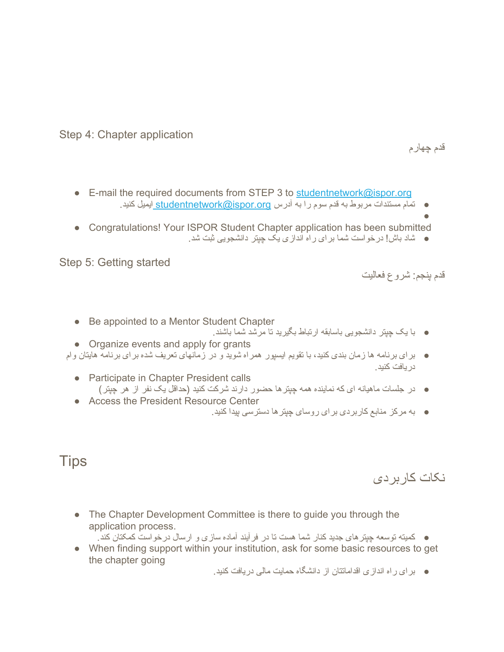Step 4: Chapter application

قدم چهارم

- E-mail the required documents from STEP 3 to [studentnetwork@ispor.org](mailto:studentnetwork@ispor.org) ● تمام مستندات مربوط به قدم سوم را به آدرس [org.ispor@studentnetwork](mailto:studentnetwork@ispor.org) ایمیل کنید.
- ● Congratulations! Your ISPOR Student Chapter application has been submitted
	- شاد باش! درخواست شما برای راه اندازی یک چپتر دانشجویی ثبت شد.

Step 5: Getting started

قدم پنجم: شروع فعالیت

- Be appointed to a Mentor Student Chapter
	- با یک چپتر دانشجویی باسابقه ارتباط بگیرید تا مرشد شما باشند.
- Organize events and apply for grants
- برای برنامه ها زمان بندی کنید، با تقویم ایسپور همراه شوید و در زمانهای تعریف شده برای برنامه هایتان وام دریافت کنید.
	- Participate in Chapter President calls ● در جلسات ماهیانه ای که نماینده همه چپترها حضور دارند شرکت کنید (حداقل یک نفر از هر چپتر)
	- Access the President Resource Center
		- به مرکز منابع کاربردی برای روسای چپترها دسترسی پیدا کنید.

## **Tips**

## نکات کاربردی

• The Chapter Development Committee is there to guide you through the application process.

● کمیته توسعه چپترهای جدید کنار شما هست تا در فرآیند آماده سازی و ارسال درخواست کمکتان کند.

- When finding support within your institution, ask for some basic resources to get the chapter going
	- برای راه اندازی اقداماتتان از دانشگاه حمایت مالی دریافت کنید.